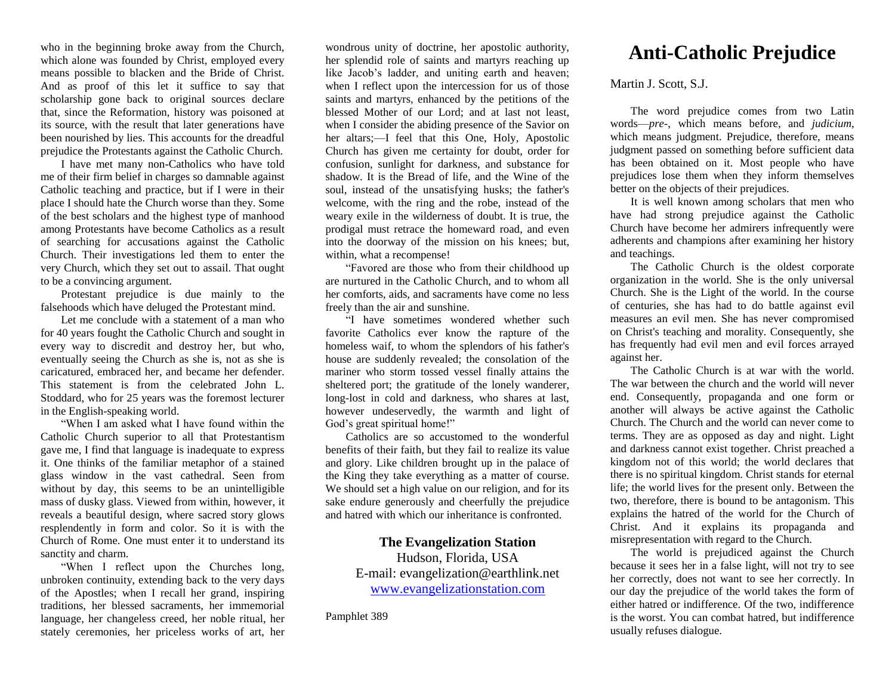who in the beginning broke away from the Church, which alone was founded by Christ, employed every means possible to blacken and the Bride of Christ. And as proof of this let it suffice to say that scholarship gone back to original sources declare that, since the Reformation, history was poisoned at its source, with the result that later generations have been nourished by lies. This accounts for the dreadful prejudice the Protestants against the Catholic Church.

I have met many non-Catholics who have told me of their firm belief in charges so damnable against Catholic teaching and practice, but if I were in their place I should hate the Church worse than they. Some of the best scholars and the highest type of manhood among Protestants have become Catholics as a result of searching for accusations against the Catholic Church. Their investigations led them to enter the very Church, which they set out to assail. That ought to be a convincing argument.

Protestant prejudice is due mainly to the falsehoods which have deluged the Protestant mind.

Let me conclude with a statement of a man who for 40 years fought the Catholic Church and sought in every way to discredit and destroy her, but who, eventually seeing the Church as she is, not as she is caricatured, embraced her, and became her defender. This statement is from the celebrated John L. Stoddard, who for 25 years was the foremost lecturer in the English-speaking world.

"When I am asked what I have found within the Catholic Church superior to all that Protestantism gave me, I find that language is inadequate to express it. One thinks of the familiar metaphor of a stained glass window in the vast cathedral. Seen from without by day, this seems to be an unintelligible mass of dusky glass. Viewed from within, however, it reveals a beautiful design, where sacred story glows resplendently in form and color. So it is with the Church of Rome. One must enter it to understand its sanctity and charm.

"When I reflect upon the Churches long, unbroken continuity, extending back to the very days of the Apostles; when I recall her grand, inspiring traditions, her blessed sacraments, her immemorial language, her changeless creed, her noble ritual, her stately ceremonies, her priceless works of art, her

wondrous unity of doctrine, her apostolic authority, her splendid role of saints and martyrs reaching up like Jacob's ladder, and uniting earth and heaven; when I reflect upon the intercession for us of those saints and martyrs, enhanced by the petitions of the blessed Mother of our Lord; and at last not least, when I consider the abiding presence of the Savior on her altars;—I feel that this One, Holy, Apostolic Church has given me certainty for doubt, order for confusion, sunlight for darkness, and substance for shadow. It is the Bread of life, and the Wine of the soul, instead of the unsatisfying husks; the father's welcome, with the ring and the robe, instead of the weary exile in the wilderness of doubt. It is true, the prodigal must retrace the homeward road, and even into the doorway of the mission on his knees; but, within, what a recompense!

"Favored are those who from their childhood up are nurtured in the Catholic Church, and to whom all her comforts, aids, and sacraments have come no less freely than the air and sunshine.

"I have sometimes wondered whether such favorite Catholics ever know the rapture of the homeless waif, to whom the splendors of his father's house are suddenly revealed; the consolation of the mariner who storm tossed vessel finally attains the sheltered port; the gratitude of the lonely wanderer, long-lost in cold and darkness, who shares at last, however undeservedly, the warmth and light of God's great spiritual home!"

Catholics are so accustomed to the wonderful benefits of their faith, but they fail to realize its value and glory. Like children brought up in the palace of the King they take everything as a matter of course. We should set a high value on our religion, and for its sake endure generously and cheerfully the prejudice and hatred with which our inheritance is confronted.

## **The Evangelization Station**

Hudson, Florida, USA E-mail: evangelization@earthlink.net [www.evangelizationstation.com](http://www.pjpiisoe.org/)

Pamphlet 389

## **Anti-Catholic Prejudice**

Martin J. Scott, S.J.

The word prejudice comes from two Latin words—*pre-*, which means before, and *judicium*, which means judgment. Prejudice, therefore, means judgment passed on something before sufficient data has been obtained on it. Most people who have prejudices lose them when they inform themselves better on the objects of their prejudices.

It is well known among scholars that men who have had strong prejudice against the Catholic Church have become her admirers infrequently were adherents and champions after examining her history and teachings.

The Catholic Church is the oldest corporate organization in the world. She is the only universal Church. She is the Light of the world. In the course of centuries, she has had to do battle against evil measures an evil men. She has never compromised on Christ's teaching and morality. Consequently, she has frequently had evil men and evil forces arrayed against her.

The Catholic Church is at war with the world. The war between the church and the world will never end. Consequently, propaganda and one form or another will always be active against the Catholic Church. The Church and the world can never come to terms. They are as opposed as day and night. Light and darkness cannot exist together. Christ preached a kingdom not of this world; the world declares that there is no spiritual kingdom. Christ stands for eternal life; the world lives for the present only. Between the two, therefore, there is bound to be antagonism. This explains the hatred of the world for the Church of Christ. And it explains its propaganda and misrepresentation with regard to the Church.

The world is prejudiced against the Church because it sees her in a false light, will not try to see her correctly, does not want to see her correctly. In our day the prejudice of the world takes the form of either hatred or indifference. Of the two, indifference is the worst. You can combat hatred, but indifference usually refuses dialogue.